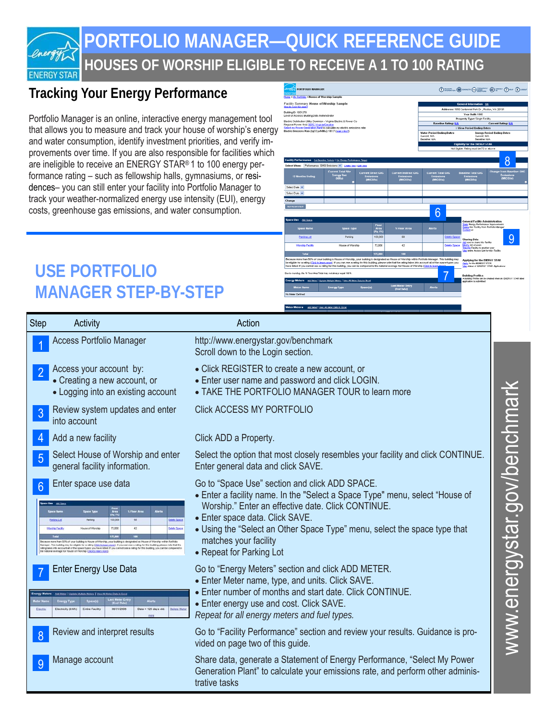

### **HOUSES OF WORSHIP ELIGIBLE TO RECEIVE A 1 TO 100 RATING PORTFOLIO MANAGER—QUICK REFERENCE GUIDE**

### **Tracking Your Energy Performance**

Portfolio Manager is an online, interactive energy management tool that allows you to measure and track your house of worship's energy and water consumption, identify investment priorities, and verify improvements over time. If you are also responsible for facilities which are ineligible to receive an ENERGY STAR® 1 to 100 energy performance rating – such as fellowship halls, gymnasiums, or residences– you can still enter your facility into Portfolio Manager to track your weather-normalized energy use intensity (EUI), energy costs, greenhouse gas emissions, and water consumption.



## **USE PORTFOLIO MANAGER STEP-BY-STEP**

| <b>Step</b> | Activity                                                                                                                                                                                                                                                                                                                                                                                                                                                                                                                                                                                                                                                                     | Action                                                                                                                                                                                                                                                                                                                                                    |                                                                  |
|-------------|------------------------------------------------------------------------------------------------------------------------------------------------------------------------------------------------------------------------------------------------------------------------------------------------------------------------------------------------------------------------------------------------------------------------------------------------------------------------------------------------------------------------------------------------------------------------------------------------------------------------------------------------------------------------------|-----------------------------------------------------------------------------------------------------------------------------------------------------------------------------------------------------------------------------------------------------------------------------------------------------------------------------------------------------------|------------------------------------------------------------------|
|             | <b>Access Portfolio Manager</b>                                                                                                                                                                                                                                                                                                                                                                                                                                                                                                                                                                                                                                              | http://www.energystar.gov/benchmark<br>Scroll down to the Login section.                                                                                                                                                                                                                                                                                  |                                                                  |
|             | Access your account by:<br>• Creating a new account, or<br>• Logging into an existing account                                                                                                                                                                                                                                                                                                                                                                                                                                                                                                                                                                                | • Click REGISTER to create a new account, or<br>• Enter user name and password and click LOGIN.<br>• TAKE THE PORTFOLIO MANAGER TOUR to learn more                                                                                                                                                                                                        | אול<br>n//han<br>ことについてこと<br>č<br>$\overline{\mathbf{d}}$<br>MNM |
| 3           | Review system updates and enter<br>into account                                                                                                                                                                                                                                                                                                                                                                                                                                                                                                                                                                                                                              | <b>Click ACCESS MY PORTFOLIO</b>                                                                                                                                                                                                                                                                                                                          |                                                                  |
|             | Add a new facility                                                                                                                                                                                                                                                                                                                                                                                                                                                                                                                                                                                                                                                           | Click ADD a Property.                                                                                                                                                                                                                                                                                                                                     |                                                                  |
|             | Select House of Worship and enter<br>general facility information.                                                                                                                                                                                                                                                                                                                                                                                                                                                                                                                                                                                                           | Select the option that most closely resembles your facility and click CONTINUE.<br>Enter general data and click SAVE.                                                                                                                                                                                                                                     |                                                                  |
| 6           | Enter space use data<br>ace Dee Att loacs<br><b>Space Type</b><br><b>K Flaor Are</b><br><b>Coace Hame</b><br>58<br><b>Welche Spacial</b><br><b>Parking Lot</b><br>Parking<br>72,000<br>42<br>teship Facility<br>House of Warship<br>elete Space<br>scause more than 50% of your building is House of Worship, your building is designated as House of Worship within Portfol<br>Manager. This building may be eligible for a rating ( <u>Cick to learn more</u> ). If you can see a rating for this building, please note that the<br>rating takes into account all of the space types you have listed. If you cannot se<br>trage for House of Worship (Click to learn more) | Go to "Space Use" section and click ADD SPACE.<br>• Enter a facility name. In the "Select a Space Type" menu, select "House of<br>Worship." Enter an effective date. Click CONTINUE.<br>• Enter space data. Click SAVE.<br>• Using the "Select an Other Space Type" menu, select the space type that<br>matches your facility<br>• Repeat for Parking Lot |                                                                  |
|             | <b>Enter Energy Use Data</b><br>Add Motor   Update Multiple Metern   View All Meter Data in Exce<br>Inergy Typ<br><b>Entire Facility</b><br>Electricity (kWh)<br>08/31/200<br>Data > 120 days old<br>Delete Mete                                                                                                                                                                                                                                                                                                                                                                                                                                                             | Go to "Energy Meters" section and click ADD METER.<br>• Enter Meter name, type, and units. Click SAVE.<br>. Enter number of months and start date. Click CONTINUE.<br>• Enter energy use and cost. Click SAVE.<br>Repeat for all energy meters and fuel types.                                                                                            |                                                                  |
|             | Review and interpret results                                                                                                                                                                                                                                                                                                                                                                                                                                                                                                                                                                                                                                                 | Go to "Facility Performance" section and review your results. Guidance is pro-<br>vided on page two of this guide.                                                                                                                                                                                                                                        |                                                                  |
| -9          | Manage account                                                                                                                                                                                                                                                                                                                                                                                                                                                                                                                                                                                                                                                               | Share data, generate a Statement of Energy Performance, "Select My Power<br>Generation Plant" to calculate your emissions rate, and perform other adminis-<br>trative tasks                                                                                                                                                                               |                                                                  |

www.energystar.gov/benchmark א האומוני האינטי (אינטי אינטי אינטי אינטי אינטי א